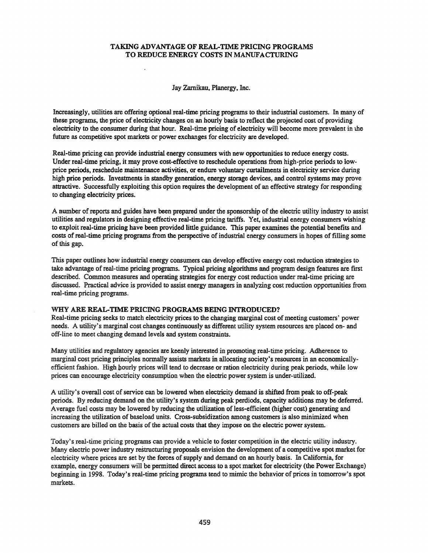# TAKING ADVANTAGE OF REAL-TIME PRICING PROGRAMS TO REDUCE ENERGY COSTS IN MANUFACTURING

Jay Zamikau. Planergy. Inc.

Increasingly. utilities are offering optional real-time pricing programs to their industrial customers. In many of these programs. the price of electricity changes on an hourly basis to reflect the projected cost of providing electricity to the consumer during that hour. Real-time pricing of electricity will become more prevalent in the future as competitive spot markets or power exchanges for electricity are developed.

Real-time pricing can provide industrial energy consumers with new opportunities to reduce energy costs. Under real-time pricing. it may prove cost-effective to reschedule operations from high-price periods to lowprice periods, reschedule maintenance activities, or endure voluntary curtailments in electricity service during high price periods. Investments in standby generation, energy storage devices, and control systems may prove attractive. Successfully exploiting this option requires the development of an effective strategy for responding to changing electricity prices.

A number of reports and guides have been prepared under the sponsorship of the electric utility industry to assist utilities and regulators in designing effective real-time pricing tariffs. Yet, industrial energy consumers wishing to exploit real-time pricing have been provided little guidance. This paper examines the potential benefits and costs of real-time pricing programs from the perspective of industrial energy consumers in hopes of filling some of this gap.

This paper outlines how industrial energy consumers can develop effective energy cost reduction strategies to take advantage ofreal-time pricing programs. Typical pricing algorithms and program design features are first described. Common measures and operating strategies for energy cost reduction under real-time pricing are discussed. Practical advice is provided to assist energy managers in analyzing cost reduction opportunities from real-time pricing programs.

### WHY ARE REAL-TIME PRICING PROGRAMS BEING INTRODUCED?

Real-time pricing seeks to match electricity prices to the changing marginal cost of meeting customers' power needs. A utility's marginal cost changes continuously as different utility system resources are placed on- and off-line to meet changing demand levels and system constraints.

Many utilities and regulatory agencies are keenly interested in promoting real-time pricing. Adherence to marginal cost pricing principles normally assists markets in allocating society's resources in an economicallyefficient fashion. High hourly prices will tend to decrease or ration electricity during peak periods. while low prices can encourage electricity consumption when the electric power system is under-utilized.

A utility's overall cost of service can be lowered when electricity demand is shifted from peak to off-peak periods. By reducing demand on the utility's system during peak perdiods, capacity additions may be deferred. Average fuel costs may be lowered by reducing the utilization of less-efficient (higher cost) generating and increasing the utilization of baseload units. Cross-subsidization among customers is also minimized when customers are billed on the basis of the actual costs that they impose on the electric power system.

Today's real-time pricing programs can provide a vehicle to foster competition in the electric utility industry. Many electric power industry restructuring proposals envision the development of a competitive spot market for electricity where prices are set by the forces of supply and demand on an hourly basis. In California, for example. energy consumers will be permitted direct access to a spot market for electricity (the Power Exchange) beginning in 1998. Today's real-time pricing programs tend to mimic the behavior of prices in tomorrow's spot markets.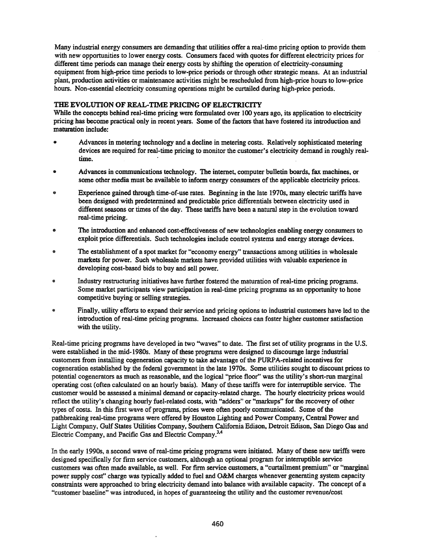Many industrial energy consumers are demanding that utilities offer a real-time pricing option to provide them with new opportunities to lower energy costs. Consumers faced with quotes for different electricity prices for different time periods can manage their energy costs by shifting the operation of electricity-consuming equipment from high-price time periods to low-price periods or through other strategic means. At an industrial plant, production activities or maintenance activities might be rescheduled from high-price hours to low-price hours. Non-essential electricity consuming operations might be curtailed during high-price periods.

# THE EVOLUTION OF REAL-TIME PRICING OF ELECTRICITY

While the concepts behind real-time pricing were formulated over 100 years ago, its application to electricity pricing has become practical only in recent years. Some of the factors that have fostered its introduction and maturation include:

- Advances in metering technology and a decline in metering costs. Relatively sophisticated metering devices are required for real-time pricing to monitor the customer's electricity demand in roughly realtime.
- Advances in communications technology. The internet, computer bulletin boards, fax machines, or some other media must be available to inform energy consumers of the applicable electricity prices.
- Experience gained through time-of-use rates. Beginning in the late 19705, many electric tariffs have been designed with predetermined and predictable price differentials between electricity used in different seasons or times of the day. These tariffs have been a natural step in the evolution toward real-time pricing.
- The introduction and enhanced cost-effectiveness of new technologies enabling energy consumers to exploit price differentials. Such technologies include control systems and energy storage devices.
- The establishment of a spot market for "economy energy" transactions among utilities in wholesale markets for power. Such wholesale markets have provided utilities with valuable experience in developing cost-based bids to buy and sell power.
- Industry restructuring initiatives have further fostered the maturation ofreal-time pricing programs. Some market participants view participation in real-time pricing programs as an opportunity to hone competitive buying or selling strategies.
- Finally, utility efforts to expand their service and pricing options to industrial customers have led to the  $\bullet$ introduction ofreal-time pricing programs. Increased choices can foster higher customer satisfaction with the utility.

Real-time pricing programs have developed in two "waves" to date. The first set of utility programs in the U.S. were established in the mid-1980s. Many of these programs were designed to discourage large industrial customers from installing cogeneration capacity to take advantage of the PURPA-related incentives for cogeneration established b;y the federal government in the late 19705. Some utilities sought to discount prices to potential cogenerators as much as reasonable, and the logical "price floor" was the utility's short-run marginal operating cost (often calculated on an hourly basis). Many of these tariffs were for interruptible service. The customer would be assessed a minimal demand or capacity-related charge. The hourly electricity prices would reflect the utility's changing hourly fuel-related costs, with "adders" or "markups" for the recovery of other types of costs. In this first wave of programs, prices were often poorly communicated. Some of the pathbreaking real-time programs were offered by Houston Lighting and Power Company, Central Power and Light Company, Gulf States Utilities Company, Southern California Edison, Detroit Edison, San Diego Gas and Electric Company, and Paciftc Gas and Electric Company.3.4

In the early 1990s, a second wave of real-time pricing programs were initiated. Many of these new tariffs were designed speciftcally for firm service customers, although an optional program for interruptible service customers was often made available, as well. For firm service customers, a "curtailment premium" or "marginal power supply cost" charge was typically added to fuel and O&M charges whenever generating system capacity constraints were approached to bring electricity demand into balance with available capacity. The concept of a "customer baseline" was introduced, in hopes of guaranteeing the utility and the customer revenue/cost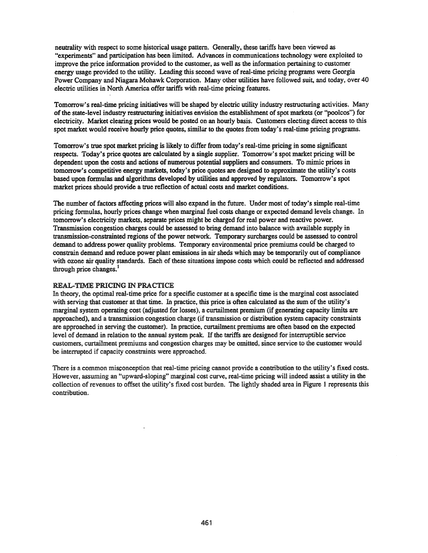neutrality with respect to some historical usage pattern. Generally, these tariffs have been viewed as "experiments" and participation has been limited. Advances in communications technology were exploited to improve the price information provided to the customer, as well as the information pertaining to customer energy usage provided to the utility. Leading this second wave ofreal-time pricing programs were Georgia Power Company and Niagara Mohawk Corporation. Many other utilities have followed suit, and today, over 40 electric utilities in North America offer tariffs with real-time pricing features.

Tomorrow's real-time pricing initiatives will be shaped by electric utility industry restructuring activities. Many ofthe state-level industry restructuring initiatives envision the establishment ofspot markets (or ''poolcos'') for electricity. Market clearing prices would be posted on an hourly basis. Customers electing direct access to this spot market would receive hourly price quotes, similar to the quotes from today's real-time pricing programs.

Tomorrow's true spot market pricing is likely to differ from today's real-time pricing in some significant respects. Today's price quotes are calculated by a single supplier. Tomorrow's spot market pricing will be dependent upon the costs and actions of numerous potential suppliers and consumers. To mimic prices in tomorrow's competitive energy markets, today's price quotes are designed to approximate the utility's costs based upon formulas and algorithms developed by utilities and approved by regulators. Tomorrow's spot market prices should provide a true reflection of actual costs and market conditions.

The number of factors affecting prices will also expand in the future. Under most of today's simple real-time pricing formulas, hourly prices change when marginal fuel costs change or expected demand levels change. In tomorrow's electricity markets, separate prices might be charged for real power and reactive power. Transmission congestion charges could be assessed to bring demand into balance with available supply in transmission-constrainted regions of the power network. Temporary surcharges could be assessed to control demand to address power quality problems. Temporary environmental price premiums could be charged to constrain demand and reduce power plant emissions in air sheds which may be temporarily out of compliance with ozone air quality standards. Each of these situations impose costs which could be reflected and addressed through price changes.<sup>1</sup>

# REAL-TIME PRICING IN PRACTICE

In theory, the optimal real-time price for a specific customer at a specific time is the marginal cost associated with serving that customer at that time. In practice, this price is often calculated as the sum of the utility's marginal system operating cost (adjusted for losses), a curtailment premium (if generating capacity limits are approached), and a transmission congestion charge (if transmission or distribution system capacity constraints are approached in serving the customer). In practice, curtailment premiums are often based on the expected level of demand in relation to the annual system peak. If the tariffs are designed for interruptible service customers, curtailment premiums and congestion charges may be omitted, since service to the customer would be interrupted if capacity constraints were approached.

There is a common misconception that real-time pricing cannot provide a contribution to the utility's fixed costs. However, assuming an "upward-sloping" marginal cost curve, real-time pricing will indeed assist a utility in the collection of revenues to offset the utility's fixed cost burden. The lightly shaded area in Figure I represents this contribution.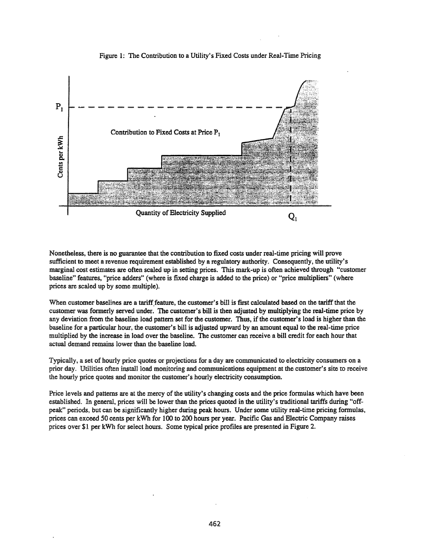

Figure 1: The Contribution to a Utility's Fixed Costs under Real-Time Pricing

Nonetheless, there is no guarantee that the contribution to fixed costs under real-time pricing will prove sufficient to meet a revenue requirement established by a regulatory authority. Consequently, the utility's marginal cost estimates are often scaled up in setting prices. This mark-up is often achieved through "customer baseline" features, "price adders" (where is fixed charge is added to the price) or "price multipliers" (where prices are scaled up by some multiple).

When customer baselines are a tariff feature, the customer's bill is first calculated based on the tariff that the customer was formerly served under. The customer's bill is then adjusted by multiplying the real-time price by any deviation from the baseline load pattern set for the customer. Thus, if the customer's load is higher than the baseline for a particular hour, the customer's bill is adjusted upward by an amount equal to the real-time price multiplied by the increase in load over the baseline. The customer can receive a bill credit for each hour that actual demand remains lower than the baseline load.

Typically, a set of hourly price quotes or projections for a day are communicated to electricity consumers on a prior day. Utilities often install load monitoring and communications equipment at the customer's site to receive the hourly price quotes and monitor the customer's hourly electricity consumption.

Price levels and patterns are at the mercy of the utility's changing costs and the price formulas which have been established. In general, prices will be lower than the prices quoted in the utility's traditional tariffs during "offpeak" periods, but can be significantly higher during peak hours. Under some utility real-time pricing formulas, prices can exceed 50 cents per kWh for 100 to 200 hours per year. Pacific Gas and Electric Company raises prices over \$1 per kWh for select hours. Some typical price profiles are presented in Figure 2.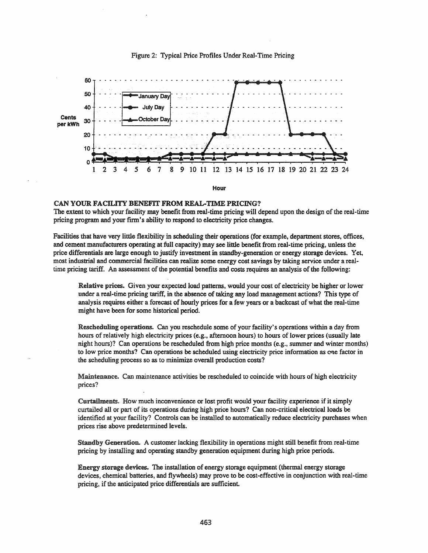

#### Figure 2: Typical Price Profiles Under Real-Time Pricing

### CAN YOUR FACILITY BENEFIT FROM REAL-TIME PRICING?

The extent to which your facility may benefit from real-time pricing will depend upon the design of the real-time pricing program and your firm's ability to respond to electricity price changes.

Facilities that have very little flexibility in scheduling their operations (for example, department stores, offices, and cement manufacturers operating at full capacity) may see little benefit from real-time pricing, unless the price differentials are large enough to justify investment in standby-generation or energy storage devices. Yet, most industrial and commercial facilities can realize some energy cost savings by taking service under a realtime pricing tariff. An assessment of the potential benefits and costs requires an analysis of the following:

Relative prices. Given your expected load patterns, would your cost of electricity be higher or lower under a real-time pricing tariff, in the absence of taking any load management actions? This type of analysis requires either a forecast of hourly prices for a few years or a backcast of what the real-time might have been for some historical period.

Rescheduling operations. Can you reschedule some of your facility's operations within a day from hours of relatively high electricity prices (e.g., afternoon hours) to hours of lower prices (usually late night hours)? Can operations be rescheduled from high price months (e.g., summer and winter months) to low price months? Can operations be scheduled using electricity price information as (me factor in the scheduling process so as to minimize overall production costs?

Maintenance. Can maintenance activities be rescheduled to coincide with hours of high electricity prices?

Curtailments. How much inconvenience or lost profit would your facility experience if it simply curtailed all or part of its operations during high price hours? Can non-critical electrical loads be identified at your facility? Controls can be installed to automatically reduce electricity purchases when prices rise above predetermined levels.

Standby Generation. A customer lacking flexibility in operations might still benefit from real-time pricing by installing and operating standby generation equipment during high price periods.

Energy storage devices. The installation of energy storage equipment (thermal energy storage devices, chemical batteries, and flywheels) may prove to be cost-effective in conjunction with real-time pricing, if the anticipated price differentials are sufficient.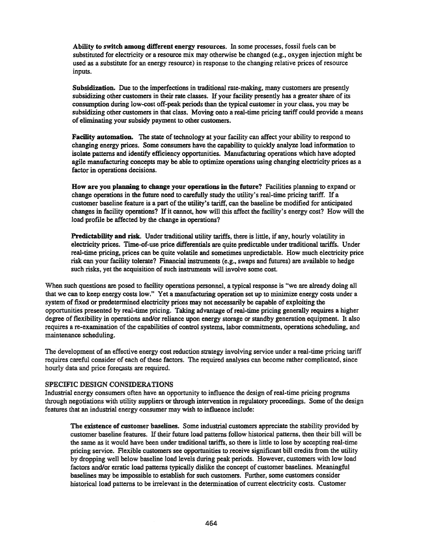Ability to switch among different energy resources. In some processes, fossil fuels can be substituted for electricity or a resource mix may otherwise be changed (e.g., oxygen injection might be used as a substitute for an energy resource) in response to the changing relative prices of resource inputs.

Subsidization. Due to the imperfections in traditional rate-making, many customers are presently subsidizing other customers in their rate classes. If your facility presently has a greater share of its consumption during low-cost off-peak periods than the typical customer in your class, you may be subsidizing other customers in that class. Moving onto a real-time pricing tariff could provide a means of eliminating your subsidy payment to other customers.

Facility automation. The state of technology at your facility can affect your ability to respond to changing energy prices. Some consumers have the capability to quickly analyze load information to isolate patterns and identify efficiency opportunities. Manufacturing operations which have adopted agile manufacturing concepts may be able to optimize operations using changing electricity prices as a factor in operations decisions.

How are you planning to change your operations in the future? Facilities planning to expand or change operations in the future need to carefully study the utility's real-time pricing tariff. If a customer baseline feature is a part of the utility's tariff, can the baseline be modified for anticipated changes in facility operations? If it cannot, how will this affect the facility's energy cost? How will the load profile be affected by the change in operations?

Predictability and risk. Under traditional utility tariffs, there is little, if any, hourly volatility in electricity prices. Time-of-use price differentials are quite predictable under traditional tariffs. Under real-time pricing, prices can be quite volatile and sometimes unpredictable. How much electricity price risk can your facility tolerate? Financial instruments (e.g., swaps and futures) are available to hedge such risks, yet the acquisition of such instruments will involve some cost.

When such questions are posed to facility operations personnel, a typical response is "we are already doing all that we can to keep energy costs low." Yet a manufacturing operation set up to minimize energy costs under a system of fixed or predetermined electricity prices may not necessarily be capable of exploiting the opportunities presented by real-time pricing. Taking advantage ofreal-time pricing generally requires a higher degree of flexibility in operations and/or reliance upon energy storage or standby generation equipment. It also requires a re-examination of the capabilities of control systems, labor commitments, operations scheduling, and maintenance scheduling.

The development of an effective energy cost reduction strategy involving service under a real-time pricing tariff requires careful consider of each of these factors. The required analyses can become rather complicated, since hourly data and price forecasts are required.

# SPECIFIC DESIGN CONSIDERATIONS

Industrial energy consumers often have an opportunity to influence the design ofreal-time pricing programs through negotiations with utility suppliers or through intervention in regulatory proceedings. Some of the design features that an industrial energy consumer may wish to influence include:

The existence of customer baselines. Some industrial customers appreciate the stability provided by customer baseline features. Iftheir future load patterns follow historical patterns, then their bill will be the same as it would have been under traditional tariffs, so there is little to lose by accepting real-time pricing service. Flexible customers see opportunities to receive significant bill credits from the utility by dropping well below baseline load levels during peak periods. However, customers with low load factors and/or erratic load patterns typically dislike the concept of customer baselines. Meaningful baselines may be impossible to establish for such customers. Further, some customers consider historical load patterns to be irrelevant in the determination of current electricity costs. Customer